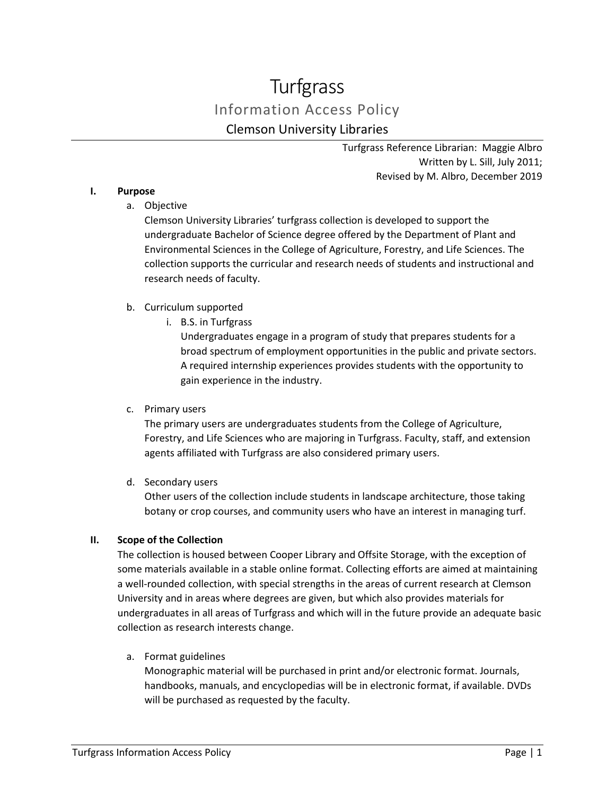# Turfgrass Information Access Policy Clemson University Libraries

Turfgrass Reference Librarian: Maggie Albro Written by L. Sill, July 2011; Revised by M. Albro, December 2019

#### **I. Purpose**

a. Objective

Clemson University Libraries' turfgrass collection is developed to support the undergraduate Bachelor of Science degree offered by the Department of Plant and Environmental Sciences in the College of Agriculture, Forestry, and Life Sciences. The collection supports the curricular and research needs of students and instructional and research needs of faculty.

## b. Curriculum supported

i. B.S. in Turfgrass

Undergraduates engage in a program of study that prepares students for a broad spectrum of employment opportunities in the public and private sectors. A required internship experiences provides students with the opportunity to gain experience in the industry.

## c. Primary users

The primary users are undergraduates students from the College of Agriculture, Forestry, and Life Sciences who are majoring in Turfgrass. Faculty, staff, and extension agents affiliated with Turfgrass are also considered primary users.

## d. Secondary users

Other users of the collection include students in landscape architecture, those taking botany or crop courses, and community users who have an interest in managing turf.

## **II. Scope of the Collection**

The collection is housed between Cooper Library and Offsite Storage, with the exception of some materials available in a stable online format. Collecting efforts are aimed at maintaining a well-rounded collection, with special strengths in the areas of current research at Clemson University and in areas where degrees are given, but which also provides materials for undergraduates in all areas of Turfgrass and which will in the future provide an adequate basic collection as research interests change.

## a. Format guidelines

Monographic material will be purchased in print and/or electronic format. Journals, handbooks, manuals, and encyclopedias will be in electronic format, if available. DVDs will be purchased as requested by the faculty.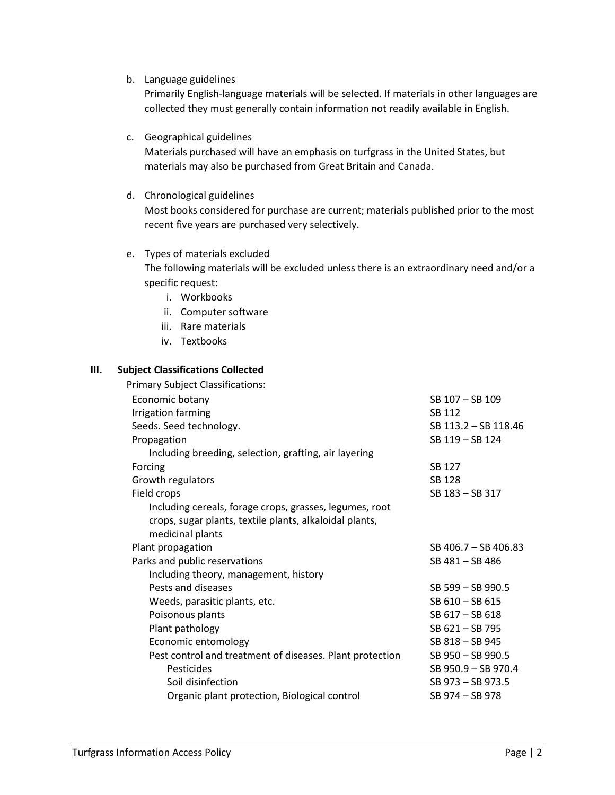b. Language guidelines

Primarily English-language materials will be selected. If materials in other languages are collected they must generally contain information not readily available in English.

c. Geographical guidelines

Materials purchased will have an emphasis on turfgrass in the United States, but materials may also be purchased from Great Britain and Canada.

d. Chronological guidelines

Most books considered for purchase are current; materials published prior to the most recent five years are purchased very selectively.

e. Types of materials excluded

The following materials will be excluded unless there is an extraordinary need and/or a specific request:

- i. Workbooks
- ii. Computer software
- iii. Rare materials
- iv. Textbooks

#### **III. Subject Classifications Collected**

Primary Subject Classifications:

| Economic botany                                          | SB 107 - SB 109      |
|----------------------------------------------------------|----------------------|
| Irrigation farming                                       | SB 112               |
| Seeds. Seed technology.                                  | SB 113.2 - SB 118.46 |
| Propagation                                              | SB 119 - SB 124      |
| Including breeding, selection, grafting, air layering    |                      |
| Forcing                                                  | SB 127               |
| Growth regulators                                        | SB 128               |
| Field crops                                              | SB 183 - SB 317      |
| Including cereals, forage crops, grasses, legumes, root  |                      |
| crops, sugar plants, textile plants, alkaloidal plants,  |                      |
| medicinal plants                                         |                      |
| Plant propagation                                        | SB 406.7 - SB 406.83 |
| Parks and public reservations                            | SB 481-SB 486        |
| Including theory, management, history                    |                      |
| Pests and diseases                                       | SB 599 - SB 990.5    |
| Weeds, parasitic plants, etc.                            | SB 610 - SB 615      |
| Poisonous plants                                         | SB 617 - SB 618      |
| Plant pathology                                          | SB 621-SB 795        |
| Economic entomology                                      | SB 818 - SB 945      |
| Pest control and treatment of diseases. Plant protection | SB 950 - SB 990.5    |
| Pesticides                                               | SB 950.9 - SB 970.4  |
| Soil disinfection                                        | SB 973 - SB 973.5    |
| Organic plant protection, Biological control             | SB 974 - SB 978      |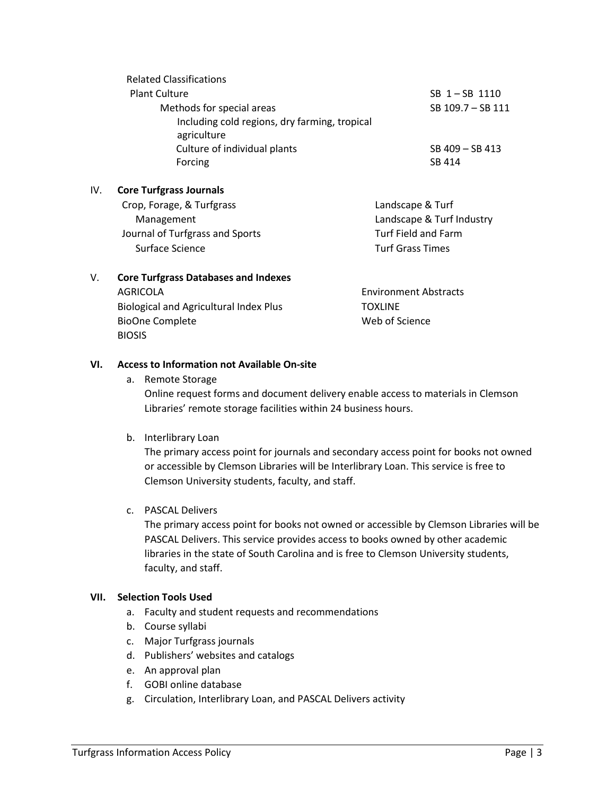| $SB$ 1 $-SB$ 1110 |
|-------------------|
|                   |
| SB 109.7 - SB 111 |
|                   |
|                   |
| $SB$ 409 - SB 413 |
|                   |
|                   |

#### IV. **Core Turfgrass Journals**

| Crop, Forage, & Turfgrass       |  |
|---------------------------------|--|
| Management                      |  |
| Journal of Turfgrass and Sports |  |
| Surface Science                 |  |

#### V. **Core Turfgrass Databases and Indexes**

AGRICOLA Biological and Agricultural Index Plus BioOne Complete BIOSIS

Turf Field and Farm Turf Grass Times

Landscape & Turf Industry

Environment Abstracts **TOXLINE** Web of Science

Landscape & Turf

## **VI. Access to Information not Available On-site**

a. Remote Storage

Online request forms and document delivery enable access to materials in Clemson Libraries' remote storage facilities within 24 business hours.

b. Interlibrary Loan

The primary access point for journals and secondary access point for books not owned or accessible by Clemson Libraries will be Interlibrary Loan. This service is free to Clemson University students, faculty, and staff.

## c. PASCAL Delivers

The primary access point for books not owned or accessible by Clemson Libraries will be PASCAL Delivers. This service provides access to books owned by other academic libraries in the state of South Carolina and is free to Clemson University students, faculty, and staff.

## **VII. Selection Tools Used**

- a. Faculty and student requests and recommendations
- b. Course syllabi
- c. Major Turfgrass journals
- d. Publishers' websites and catalogs
- e. An approval plan
- f. GOBI online database
- g. Circulation, Interlibrary Loan, and PASCAL Delivers activity